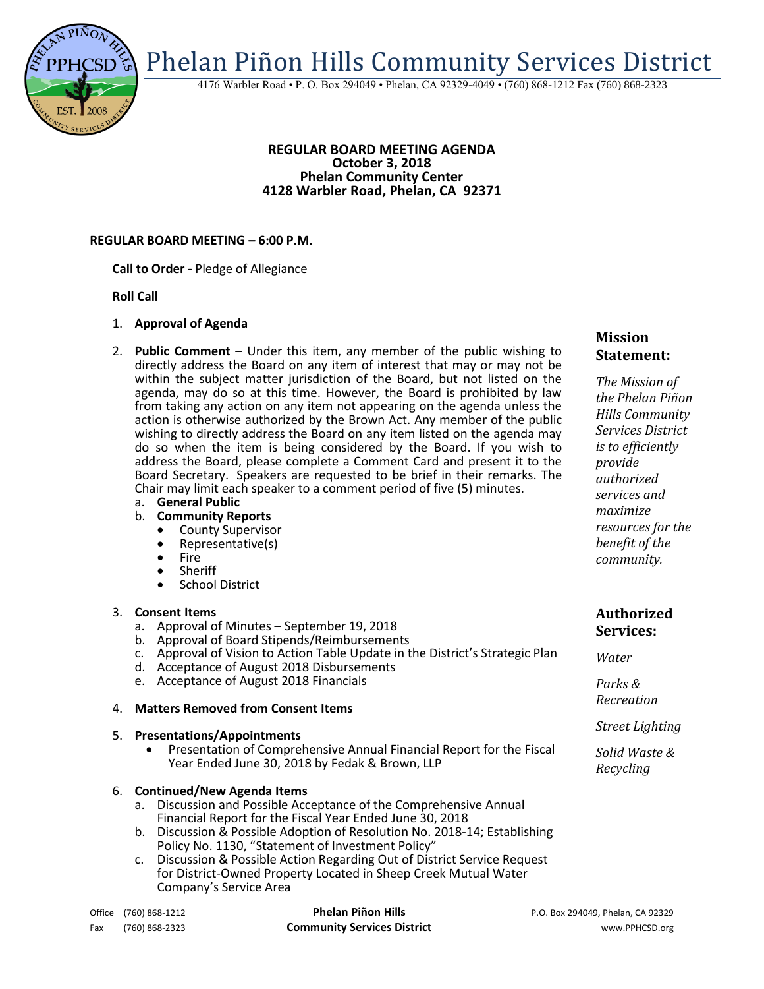Phelan Piñon Hills Community Services District

4176 Warbler Road • P. O. Box 294049 • Phelan, CA 92329-4049 • (760) 868-1212 Fax (760) 868-2323

#### **REGULAR BOARD MEETING AGENDA October 3, 2018 Phelan Community Center 4128 Warbler Road, Phelan, CA 92371**

### **REGULAR BOARD MEETING – 6:00 P.M.**

**Call to Order -** Pledge of Allegiance

### **Roll Call**

- 1. **Approval of Agenda**
- 2. **Public Comment**  Under this item, any member of the public wishing to directly address the Board on any item of interest that may or may not be within the subject matter jurisdiction of the Board, but not listed on the agenda, may do so at this time. However, the Board is prohibited by law from taking any action on any item not appearing on the agenda unless the action is otherwise authorized by the Brown Act. Any member of the public wishing to directly address the Board on any item listed on the agenda may do so when the item is being considered by the Board. If you wish to address the Board, please complete a Comment Card and present it to the Board Secretary. Speakers are requested to be brief in their remarks. The Chair may limit each speaker to a comment period of five (5) minutes.
	- a. **General Public**
	- b. **Community Reports**
		- County Supervisor<br>• Representative(s)
		- Representative(s)
		- Fire
		- Sheriff
		- School District

# 3. **Consent Items**

- a. Approval of Minutes September 19, 2018
- b. Approval of Board Stipends/Reimbursements
- c. Approval of Vision to Action Table Update in the District's Strategic Plan
- d. Acceptance of August 2018 Disbursements
- e. Acceptance of August 2018 Financials

# 4. **Matters Removed from Consent Items**

### 5. **Presentations/Appointments**

 Presentation of Comprehensive Annual Financial Report for the Fiscal Year Ended June 30, 2018 by Fedak & Brown, LLP

#### 6. **Continued/New Agenda Items**

- a. Discussion and Possible Acceptance of the Comprehensive Annual Financial Report for the Fiscal Year Ended June 30, 2018
- b. Discussion & Possible Adoption of Resolution No. 2018-14; Establishing Policy No. 1130, "Statement of Investment Policy"
- c. Discussion & Possible Action Regarding Out of District Service Request for District-Owned Property Located in Sheep Creek Mutual Water Company's Service Area

# **Mission Statement:**

*The Mission of the Phelan Piñon Hills Community Services District is to efficiently provide authorized services and maximize resources for the benefit of the community.*

# **Authorized Services:**

*Water*

*Parks & Recreation*

*Street Lighting*

*Solid Waste & Recycling*